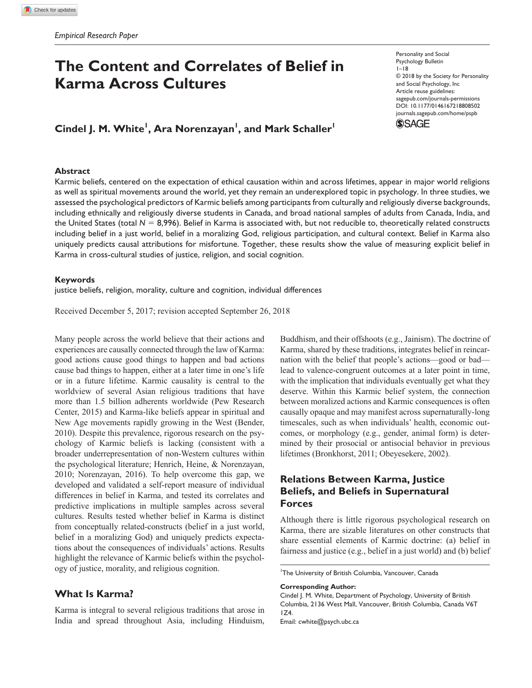# **The Content and Correlates of Belief in Karma Across Cultures**

# **Cindel J. M. White<sup>1</sup>, Ara Norenzayan<sup>1</sup>, and Mark Schaller<sup>1</sup>**

### **Abstract**

Karmic beliefs, centered on the expectation of ethical causation within and across lifetimes, appear in major world religions as well as spiritual movements around the world, yet they remain an underexplored topic in psychology. In three studies, we assessed the psychological predictors of Karmic beliefs among participants from culturally and religiously diverse backgrounds, including ethnically and religiously diverse students in Canada, and broad national samples of adults from Canada, India, and the United States (total  $N = 8,996$ ). Belief in Karma is associated with, but not reducible to, theoretically related constructs including belief in a just world, belief in a moralizing God, religious participation, and cultural context. Belief in Karma also uniquely predicts causal attributions for misfortune. Together, these results show the value of measuring explicit belief in Karma in cross-cultural studies of justice, religion, and social cognition.

#### **Keywords**

justice beliefs, religion, morality, culture and cognition, individual differences

Received December 5, 2017; revision accepted September 26, 2018

Many people across the world believe that their actions and experiences are causally connected through the law of Karma: good actions cause good things to happen and bad actions cause bad things to happen, either at a later time in one's life or in a future lifetime. Karmic causality is central to the worldview of several Asian religious traditions that have more than 1.5 billion adherents worldwide (Pew Research Center, 2015) and Karma-like beliefs appear in spiritual and New Age movements rapidly growing in the West (Bender, 2010). Despite this prevalence, rigorous research on the psychology of Karmic beliefs is lacking (consistent with a broader underrepresentation of non-Western cultures within the psychological literature; Henrich, Heine, & Norenzayan, 2010; Norenzayan, 2016). To help overcome this gap, we developed and validated a self-report measure of individual differences in belief in Karma, and tested its correlates and predictive implications in multiple samples across several cultures. Results tested whether belief in Karma is distinct from conceptually related-constructs (belief in a just world, belief in a moralizing God) and uniquely predicts expectations about the consequences of individuals' actions. Results highlight the relevance of Karmic beliefs within the psychology of justice, morality, and religious cognition.

# **What Is Karma?**

Karma is integral to several religious traditions that arose in India and spread throughout Asia, including Hinduism,

Buddhism, and their offshoots (e.g., Jainism). The doctrine of Karma, shared by these traditions, integrates belief in reincarnation with the belief that people's actions—good or bad lead to valence-congruent outcomes at a later point in time, with the implication that individuals eventually get what they deserve. Within this Karmic belief system, the connection between moralized actions and Karmic consequences is often causally opaque and may manifest across supernaturally-long timescales, such as when individuals' health, economic outcomes, or morphology (e.g., gender, animal form) is determined by their prosocial or antisocial behavior in previous lifetimes (Bronkhorst, 2011; Obeyesekere, 2002).

# **Relations Between Karma, Justice Beliefs, and Beliefs in Supernatural Forces**

Although there is little rigorous psychological research on Karma, there are sizable literatures on other constructs that share essential elements of Karmic doctrine: (a) belief in fairness and justice (e.g., belief in a just world) and (b) belief

**Corresponding Author:**

Email: [cwhite@psych.ubc.ca](mailto:cwhite@psych.ubc.ca)

Personality and Social Psychology Bulletin  $1 - 18$ © 2018 by the Society for Personality and Social Psychology, Inc Article reuse guidelines: [sagepub.com/journals-permissions](https://us.sagepub.com/en-us/journals-permissions) https://doi.org/10.1177/0146167218808502 DOI: 10.1177/0146167218808502 [journals.sagepub.com/home/pspb](http://journals.sagepub.com/home/pspb) **SSAGE** 

<sup>&</sup>lt;sup>1</sup>The University of British Columbia, Vancouver, Canada

Cindel J. M. White, Department of Psychology, University of British Columbia, 2136 West Mall, Vancouver, British Columbia, Canada V6T 1Z4.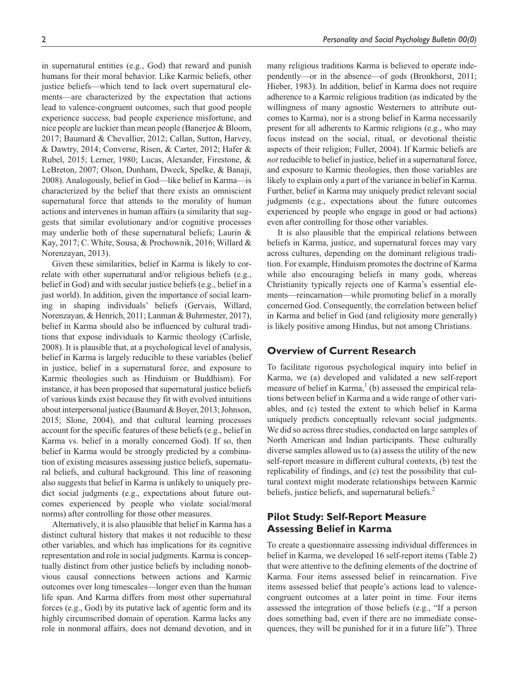in supernatural entities (e.g., God) that reward and punish humans for their moral behavior. Like Karmic beliefs, other justice beliefs—which tend to lack overt supernatural elements—are characterized by the expectation that actions lead to valence-congruent outcomes, such that good people experience success, bad people experience misfortune, and nice people are luckier than mean people (Banerjee & Bloom, 2017; Baumard & Chevallier, 2012; Callan, Sutton, Harvey, & Dawtry, 2014; Converse, Risen, & Carter, 2012; Hafer & Rubel, 2015; Lerner, 1980; Lucas, Alexander, Firestone, & LeBreton, 2007; Olson, Dunham, Dweck, Spelke, & Banaji, 2008). Analogously, belief in God—like belief in Karma—is characterized by the belief that there exists an omniscient supernatural force that attends to the morality of human actions and intervenes in human affairs (a similarity that suggests that similar evolutionary and/or cognitive processes may underlie both of these supernatural beliefs; Laurin & Kay, 2017; C. White, Sousa, & Prochownik, 2016; Willard & Norenzayan, 2013).

Given these similarities, belief in Karma is likely to correlate with other supernatural and/or religious beliefs (e.g., belief in God) and with secular justice beliefs (e.g., belief in a just world). In addition, given the importance of social learning in shaping individuals' beliefs (Gervais, Willard, Norenzayan, & Henrich, 2011; Lanman & Buhrmester, 2017), belief in Karma should also be influenced by cultural traditions that expose individuals to Karmic theology (Carlisle, 2008). It is plausible that, at a psychological level of analysis, belief in Karma is largely reducible to these variables (belief in justice, belief in a supernatural force, and exposure to Karmic theologies such as Hinduism or Buddhism). For instance, it has been proposed that supernatural justice beliefs of various kinds exist because they fit with evolved intuitions about interpersonal justice (Baumard & Boyer, 2013; Johnson, 2015; Slone, 2004), and that cultural learning processes account for the specific features of these beliefs (e.g., belief in Karma vs. belief in a morally concerned God). If so, then belief in Karma would be strongly predicted by a combination of existing measures assessing justice beliefs, supernatural beliefs, and cultural background. This line of reasoning also suggests that belief in Karma is unlikely to uniquely predict social judgments (e.g., expectations about future outcomes experienced by people who violate social/moral norms) after controlling for those other measures.

Alternatively, it is also plausible that belief in Karma has a distinct cultural history that makes it not reducible to these other variables, and which has implications for its cognitive representation and role in social judgments. Karma is conceptually distinct from other justice beliefs by including nonobvious causal connections between actions and Karmic outcomes over long timescales—longer even than the human life span. And Karma differs from most other supernatural forces (e.g., God) by its putative lack of agentic form and its highly circumscribed domain of operation. Karma lacks any role in nonmoral affairs, does not demand devotion, and in

many religious traditions Karma is believed to operate independently—or in the absence—of gods (Bronkhorst, 2011; Hieber, 1983). In addition, belief in Karma does not require adherence to a Karmic religious tradition (as indicated by the willingness of many agnostic Westerners to attribute outcomes to Karma), nor is a strong belief in Karma necessarily present for all adherents to Karmic religions (e.g., who may focus instead on the social, ritual, or devotional theistic aspects of their religion; Fuller, 2004). If Karmic beliefs are *not* reducible to belief in justice, belief in a supernatural force, and exposure to Karmic theologies, then those variables are likely to explain only a part of the variance in belief in Karma. Further, belief in Karma may uniquely predict relevant social judgments (e.g., expectations about the future outcomes experienced by people who engage in good or bad actions) even after controlling for those other variables.

It is also plausible that the empirical relations between beliefs in Karma, justice, and supernatural forces may vary across cultures, depending on the dominant religious tradition. For example, Hinduism promotes the doctrine of Karma while also encouraging beliefs in many gods, whereas Christianity typically rejects one of Karma's essential elements—reincarnation—while promoting belief in a morally concerned God. Consequently, the correlation between belief in Karma and belief in God (and religiosity more generally) is likely positive among Hindus, but not among Christians.

### **Overview of Current Research**

To facilitate rigorous psychological inquiry into belief in Karma, we (a) developed and validated a new self-report measure of belief in  $Karma$ ,<sup>1</sup> (b) assessed the empirical relations between belief in Karma and a wide range of other variables, and (c) tested the extent to which belief in Karma uniquely predicts conceptually relevant social judgments. We did so across three studies, conducted on large samples of North American and Indian participants. These culturally diverse samples allowed us to (a) assess the utility of the new self-report measure in different cultural contexts, (b) test the replicability of findings, and (c) test the possibility that cultural context might moderate relationships between Karmic beliefs, justice beliefs, and supernatural beliefs.<sup>2</sup>

# **Pilot Study: Self-Report Measure Assessing Belief in Karma**

To create a questionnaire assessing individual differences in belief in Karma, we developed 16 self-report items (Table 2) that were attentive to the defining elements of the doctrine of Karma. Four items assessed belief in reincarnation. Five items assessed belief that people's actions lead to valencecongruent outcomes at a later point in time. Four items assessed the integration of those beliefs (e.g., "If a person does something bad, even if there are no immediate consequences, they will be punished for it in a future life"). Three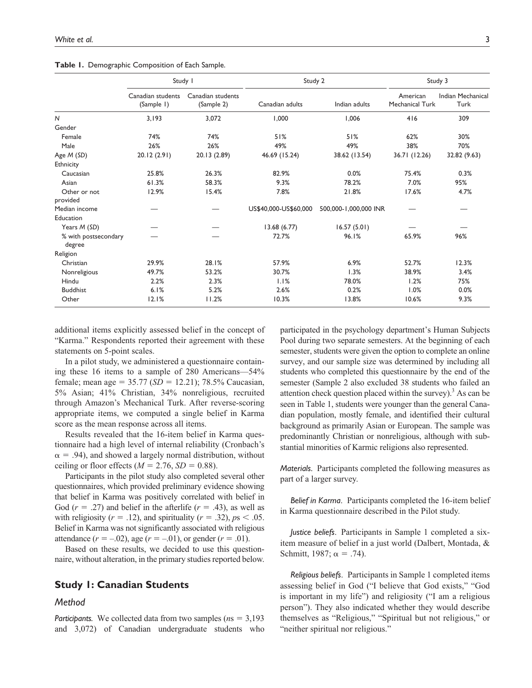|                                | Study I                         |                                 | Study 2               |                       |                                    | Study 3                          |
|--------------------------------|---------------------------------|---------------------------------|-----------------------|-----------------------|------------------------------------|----------------------------------|
|                                | Canadian students<br>(Sample 1) | Canadian students<br>(Sample 2) | Canadian adults       | Indian adults         | American<br><b>Mechanical Turk</b> | <b>Indian Mechanical</b><br>Turk |
| $\mathsf{N}$                   | 3,193                           | 3,072                           | 1,000                 | 1,006                 | 416                                | 309                              |
| Gender                         |                                 |                                 |                       |                       |                                    |                                  |
| Female                         | 74%                             | 74%                             | 51%                   | 51%                   | 62%                                | 30%                              |
| Male                           | 26%                             | 26%                             | 49%                   | 49%                   | 38%                                | 70%                              |
| Age M (SD)                     | 20.12 (2.91)                    | 20.13 (2.89)                    | 46.69 (15.24)         | 38.62 (13.54)         | 36.71 (12.26)                      | 32.82 (9.63)                     |
| Ethnicity                      |                                 |                                 |                       |                       |                                    |                                  |
| Caucasian                      | 25.8%                           | 26.3%                           | 82.9%                 | 0.0%                  | 75.4%                              | 0.3%                             |
| Asian                          | 61.3%                           | 58.3%                           | 9.3%                  | 78.2%                 | 7.0%                               | 95%                              |
| Other or not                   | 12.9%                           | 15.4%                           | 7.8%                  | 21.8%                 | 17.6%                              | 4.7%                             |
| provided                       |                                 |                                 |                       |                       |                                    |                                  |
| Median income                  |                                 |                                 | US\$40,000-US\$60,000 | 500,000-1,000,000 INR |                                    |                                  |
| Education                      |                                 |                                 |                       |                       |                                    |                                  |
| Years M (SD)                   |                                 |                                 | 13.68(6.77)           | 16.57(5.01)           |                                    |                                  |
| % with postsecondary<br>degree |                                 |                                 | 72.7%                 | 96.1%                 | 65.9%                              | 96%                              |
| Religion                       |                                 |                                 |                       |                       |                                    |                                  |
| Christian                      | 29.9%                           | 28.1%                           | 57.9%                 | 6.9%                  | 52.7%                              | 12.3%                            |
| Nonreligious                   | 49.7%                           | 53.2%                           | 30.7%                 | 1.3%                  | 38.9%                              | 3.4%                             |
| Hindu                          | 2.2%                            | 2.3%                            | 1.1%                  | 78.0%                 | 1.2%                               | 75%                              |
| <b>Buddhist</b>                | 6.1%                            | 5.2%                            | 2.6%                  | 0.2%                  | 1.0%                               | 0.0%                             |
| Other                          | 12.1%                           | 11.2%                           | 10.3%                 | 13.8%                 | 10.6%                              | 9.3%                             |

|  | Table 1. Demographic Composition of Each Sample. |  |  |  |  |
|--|--------------------------------------------------|--|--|--|--|
|--|--------------------------------------------------|--|--|--|--|

additional items explicitly assessed belief in the concept of "Karma." Respondents reported their agreement with these statements on 5-point scales.

In a pilot study, we administered a questionnaire containing these 16 items to a sample of 280 Americans—54% female; mean age = 35.77 (*SD* = 12.21); 78.5% Caucasian, 5% Asian; 41% Christian, 34% nonreligious, recruited through Amazon's Mechanical Turk. After reverse-scoring appropriate items, we computed a single belief in Karma score as the mean response across all items.

Results revealed that the 16-item belief in Karma questionnaire had a high level of internal reliability (Cronbach's  $\alpha$  = .94), and showed a largely normal distribution, without ceiling or floor effects ( $M = 2.76$ ,  $SD = 0.88$ ).

Participants in the pilot study also completed several other questionnaires, which provided preliminary evidence showing that belief in Karma was positively correlated with belief in God  $(r = .27)$  and belief in the afterlife  $(r = .43)$ , as well as with religiosity  $(r = .12)$ , and spirituality  $(r = .32)$ ,  $p_s < .05$ . Belief in Karma was not significantly associated with religious attendance  $(r = -.02)$ , age  $(r = -.01)$ , or gender  $(r = .01)$ .

Based on these results, we decided to use this questionnaire, without alteration, in the primary studies reported below.

## **Study 1: Canadian Students**

*Method*

*Participants.* We collected data from two samples (*n*s = 3,193 and 3,072) of Canadian undergraduate students who participated in the psychology department's Human Subjects Pool during two separate semesters. At the beginning of each semester, students were given the option to complete an online survey, and our sample size was determined by including all students who completed this questionnaire by the end of the semester (Sample 2 also excluded 38 students who failed an attention check question placed within the survey).<sup>3</sup> As can be seen in Table 1, students were younger than the general Canadian population, mostly female, and identified their cultural background as primarily Asian or European. The sample was predominantly Christian or nonreligious, although with substantial minorities of Karmic religions also represented.

*Materials.* Participants completed the following measures as part of a larger survey.

*Belief in Karma*. Participants completed the 16-item belief in Karma questionnaire described in the Pilot study.

*Justice beliefs*. Participants in Sample 1 completed a sixitem measure of belief in a just world (Dalbert, Montada, & Schmitt, 1987;  $\alpha = .74$ ).

*Religious beliefs*. Participants in Sample 1 completed items assessing belief in God ("I believe that God exists," "God is important in my life") and religiosity ("I am a religious person"). They also indicated whether they would describe themselves as "Religious," "Spiritual but not religious," or "neither spiritual nor religious."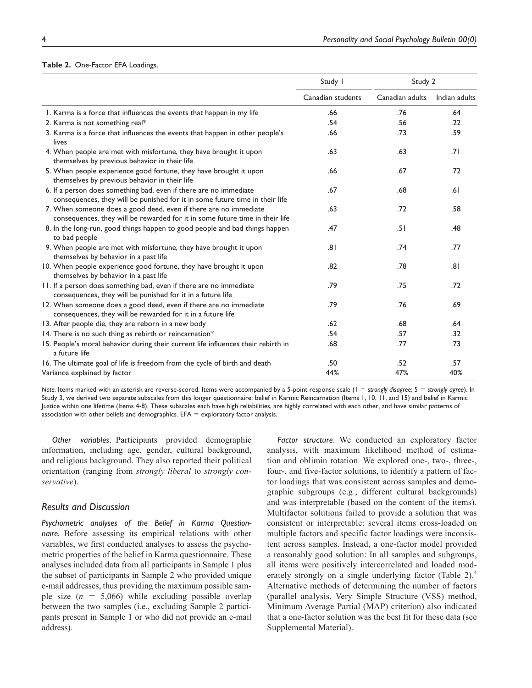#### **Table 2.** One-Factor EFA Loadings.

|                                                                                                                                                   | Study I           | Study 2         |               |
|---------------------------------------------------------------------------------------------------------------------------------------------------|-------------------|-----------------|---------------|
|                                                                                                                                                   | Canadian students | Canadian adults | Indian adults |
| I. Karma is a force that influences the events that happen in my life                                                                             | .66               | .76             | .64           |
| 2. Karma is not something real*                                                                                                                   | .54               | .56             | .22           |
| 3. Karma is a force that influences the events that happen in other people's<br>lives                                                             | .66               | .73             | .59           |
| 4. When people are met with misfortune, they have brought it upon<br>themselves by previous behavior in their life                                | .63               | .63             | .71           |
| 5. When people experience good fortune, they have brought it upon<br>themselves by previous behavior in their life                                | .66               | .67             | .72           |
| 6. If a person does something bad, even if there are no immediate<br>consequences, they will be punished for it in some future time in their life | .67               | .68             | .61           |
| 7. When someone does a good deed, even if there are no immediate<br>consequences, they will be rewarded for it in some future time in their life  | .63               | .72             | .58           |
| 8. In the long-run, good things happen to good people and bad things happen<br>to bad people                                                      | .47               | .51             | .48           |
| 9. When people are met with misfortune, they have brought it upon<br>themselves by behavior in a past life                                        | .81               | .74             | .77           |
| 10. When people experience good fortune, they have brought it upon<br>themselves by behavior in a past life                                       | .82               | .78             | .81           |
| 11. If a person does something bad, even if there are no immediate<br>consequences, they will be punished for it in a future life                 | .79               | .75             | .72           |
| 12. When someone does a good deed, even if there are no immediate<br>consequences, they will be rewarded for it in a future life                  | .79               | .76             | .69           |
| 13. After people die, they are reborn in a new body                                                                                               | .62               | .68             | .64           |
| 14. There is no such thing as rebirth or reincarnation*                                                                                           | .54               | .57             | .32           |
| 15. People's moral behavior during their current life influences their rebirth in<br>a future life                                                | .68               | .77             | .73           |
| 16. The ultimate goal of life is freedom from the cycle of birth and death                                                                        | .50               | .52             | .57           |
| Variance explained by factor                                                                                                                      | 44%               | 47%             | 40%           |

*Note.* Items marked with an asterisk are reverse-scored. Items were accompanied by a 5-point response scale (1 = *strongly disagree*; 5 = *strongly agree*). In Study 3, we derived two separate subscales from this longer questionnaire: belief in Karmic Reincarnation (Items 1, 10, 11, and 15) and belief in Karmic Justice within one lifetime (Items 4-8). These subscales each have high reliabilities, are highly correlated with each other, and have similar patterns of association with other beliefs and demographics.  $EFA =$  exploratory factor analysis.

*Other variables*. Participants provided demographic information, including age, gender, cultural background, and religious background. They also reported their political orientation (ranging from *strongly liberal* to *strongly conservative*).

### *Results and Discussion*

*Psychometric analyses of the Belief in Karma Questionnaire.* Before assessing its empirical relations with other variables, we first conducted analyses to assess the psychometric properties of the belief in Karma questionnaire. These analyses included data from all participants in Sample 1 plus the subset of participants in Sample 2 who provided unique e-mail addresses, thus providing the maximum possible sample size  $(n = 5,066)$  while excluding possible overlap between the two samples (i.e., excluding Sample 2 participants present in Sample 1 or who did not provide an e-mail address).

*Factor structure*. We conducted an exploratory factor analysis, with maximum likelihood method of estimation and oblimin rotation. We explored one-, two-, three-, four-, and five-factor solutions, to identify a pattern of factor loadings that was consistent across samples and demographic subgroups (e.g., different cultural backgrounds) and was interpretable (based on the content of the items). Multifactor solutions failed to provide a solution that was consistent or interpretable: several items cross-loaded on multiple factors and specific factor loadings were inconsistent across samples. Instead, a one-factor model provided a reasonably good solution: In all samples and subgroups, all items were positively intercorrelated and loaded moderately strongly on a single underlying factor (Table 2).<sup>4</sup> Alternative methods of determining the number of factors (parallel analysis, Very Simple Structure (VSS) method, Minimum Average Partial (MAP) criterion) also indicated that a one-factor solution was the best fit for these data (see Supplemental Material).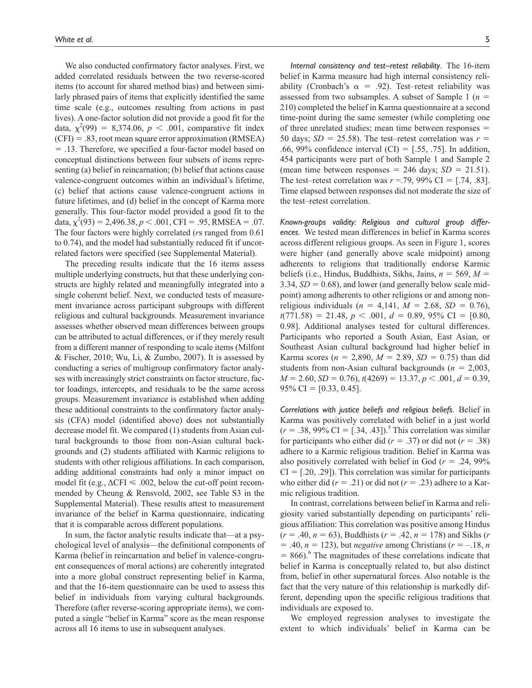We also conducted confirmatory factor analyses. First, we added correlated residuals between the two reverse-scored items (to account for shared method bias) and between similarly phrased pairs of items that explicitly identified the same time scale (e.g., outcomes resulting from actions in past lives). A one-factor solution did not provide a good fit for the data,  $\chi^2(99) = 8,374.06, p < .001$ , comparative fit index (CFI) = .83, root mean square error approximation (RMSEA) = .13. Therefore, we specified a four-factor model based on conceptual distinctions between four subsets of items representing (a) belief in reincarnation; (b) belief that actions cause valence-congruent outcomes within an individual's lifetime, (c) belief that actions cause valence-congruent actions in future lifetimes, and (d) belief in the concept of Karma more generally. This four-factor model provided a good fit to the data,  $\chi^2(93) = 2,496.38, p < .001, \text{CFI} = .95, \text{RMSEA} = .07.$ The four factors were highly correlated (*r*s ranged from 0.61 to 0.74), and the model had substantially reduced fit if uncorrelated factors were specified (see Supplemental Material).

The preceding results indicate that the 16 items assess multiple underlying constructs, but that these underlying constructs are highly related and meaningfully integrated into a single coherent belief. Next, we conducted tests of measurement invariance across participant subgroups with different religious and cultural backgrounds. Measurement invariance assesses whether observed mean differences between groups can be attributed to actual differences, or if they merely result from a different manner of responding to scale items (Milfont & Fischer, 2010; Wu, Li, & Zumbo, 2007). It is assessed by conducting a series of multigroup confirmatory factor analyses with increasingly strict constraints on factor structure, factor loadings, intercepts, and residuals to be the same across groups. Measurement invariance is established when adding these additional constraints to the confirmatory factor analysis (CFA) model (identified above) does not substantially decrease model fit. We compared (1) students from Asian cultural backgrounds to those from non-Asian cultural backgrounds and (2) students affiliated with Karmic religions to students with other religious affiliations. In each comparison, adding additional constraints had only a minor impact on model fit (e.g.,  $\Delta$ CFI ≤ .002, below the cut-off point recommended by Cheung & Rensvold, 2002, see Table S3 in the Supplemental Material). These results attest to measurement invariance of the belief in Karma questionnaire, indicating that it is comparable across different populations.

In sum, the factor analytic results indicate that—at a psychological level of analysis—the definitional components of Karma (belief in reincarnation and belief in valence-congruent consequences of moral actions) are coherently integrated into a more global construct representing belief in Karma, and that the 16-item questionnaire can be used to assess this belief in individuals from varying cultural backgrounds. Therefore (after reverse-scoring appropriate items), we computed a single "belief in Karma" score as the mean response across all 16 items to use in subsequent analyses.

*Internal consistency and test–retest reliability*. The 16-item belief in Karma measure had high internal consistency reliability (Cronbach's  $\alpha$  = .92). Test–retest reliability was assessed from two subsamples. A subset of Sample 1 (*n* = 210) completed the belief in Karma questionnaire at a second time-point during the same semester (while completing one of three unrelated studies; mean time between responses = 50 days;  $SD = 25.58$ ). The test–retest correlation was  $r =$ .66, 99% confidence interval  $(CI) = [0.55, 0.75]$ . In addition, 454 participants were part of both Sample 1 and Sample 2 (mean time between responses  $= 246$  days; *SD*  $= 21.51$ ). The test–retest correlation was  $r = .79$ , 99% CI = [.74, .83]. Time elapsed between responses did not moderate the size of the test–retest correlation.

*Known-groups validity: Religious and cultural group differences.* We tested mean differences in belief in Karma scores across different religious groups. As seen in Figure 1, scores were higher (and generally above scale midpoint) among adherents to religions that traditionally endorse Karmic beliefs (i.e., Hindus, Buddhists, Sikhs, Jains, *n* = 569, *M* = 3.34,  $SD = 0.68$ ), and lower (and generally below scale midpoint) among adherents to other religions or and among nonreligious individuals ( $n = 4,141$ ,  $M = 2.68$ ,  $SD = 0.76$ ), *t*(771.58) = 21.48, *p* < .001, *d* = 0.89, 95% CI = [0.80, 0.98]. Additional analyses tested for cultural differences. Participants who reported a South Asian, East Asian, or Southeast Asian cultural background had higher belief in Karma scores ( $n = 2,890$ ,  $M = 2.89$ ,  $SD = 0.75$ ) than did students from non-Asian cultural backgrounds (*n* = 2,003,  $M = 2.60$ ,  $SD = 0.76$ ),  $t(4269) = 13.37$ ,  $p < .001$ ,  $d = 0.39$ ,  $95\%$  CI = [0.33, 0.45].

*Correlations with justice beliefs and religious beliefs.* Belief in Karma was positively correlated with belief in a just world  $(r = .38, 99\% \text{ CI} = [.34, .43])$ .<sup>5</sup> This correlation was similar for participants who either did ( $r = .37$ ) or did not ( $r = .38$ ) adhere to a Karmic religious tradition. Belief in Karma was also positively correlated with belief in God  $(r = .24, 99\%)$  $CI = [.20, .29]$ . This correlation was similar for participants who either did  $(r = .21)$  or did not  $(r = .23)$  adhere to a Karmic religious tradition.

In contrast, correlations between belief in Karma and religiosity varied substantially depending on participants' religious affiliation: This correlation was positive among Hindus (*r* = .40, *n* = 63), Buddhists (*r* = .42, *n* = 178) and Sikhs (*r* = .40, *n* = 123), but *negative* among Christians (*r* = –.18, *n*  $= 866$ .<sup>6</sup> The magnitudes of these correlations indicate that belief in Karma is conceptually related to, but also distinct from, belief in other supernatural forces. Also notable is the fact that the very nature of this relationship is markedly different, depending upon the specific religious traditions that individuals are exposed to.

We employed regression analyses to investigate the extent to which individuals' belief in Karma can be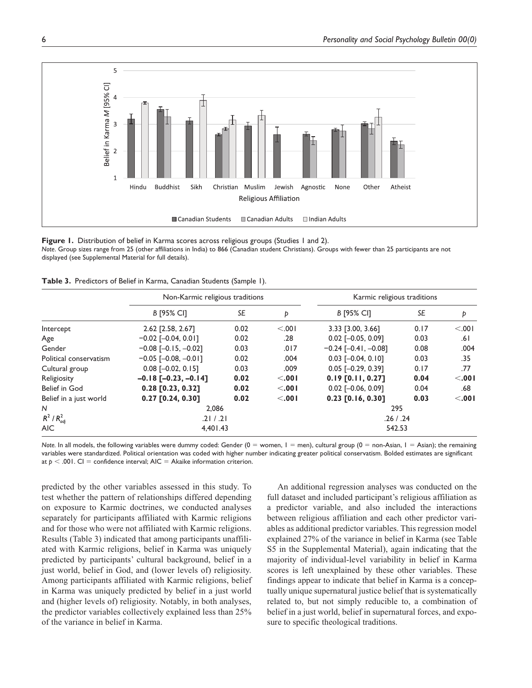

**Figure 1.** Distribution of belief in Karma scores across religious groups (Studies 1 and 2). *Note*. Group sizes range from 25 (other affiliations in India) to 866 (Canadian student Christians). Groups with fewer than 25 participants are not displayed (see Supplemental Material for full details).

|  |  | Table 3. Predictors of Belief in Karma, Canadian Students (Sample 1). |  |  |  |
|--|--|-----------------------------------------------------------------------|--|--|--|
|--|--|-----------------------------------------------------------------------|--|--|--|

|                          | Non-Karmic religious traditions |      |        | Karmic religious traditions   |      |        |
|--------------------------|---------------------------------|------|--------|-------------------------------|------|--------|
|                          | <b>B</b> [95% CI]               | SE   | Þ      | <b>B</b> [95% CI]             | SE   | Þ      |
| Intercept                | 2.62 [2.58, 2.67]               | 0.02 | < 0.01 | 3.33 [3.00, 3.66]             | 0.17 | < 0.01 |
| Age                      | $-0.02$ [ $-0.04$ , 0.01]       | 0.02 | .28    | $0.02$ [-0.05, 0.09]          | 0.03 | .61    |
| Gender                   | $-0.08$ [-0.15, -0.02]          | 0.03 | .017   | $-0.24$ [ $-0.41$ , $-0.08$ ] | 0.08 | .004   |
| Political conservatism   | $-0.05$ [ $-0.08$ , $-0.01$ ]   | 0.02 | .004   | $0.03$ [-0.04, 0.10]          | 0.03 | .35    |
| Cultural group           | $0.08$ [-0.02, 0.15]            | 0.03 | .009   | $0.05$ [-0.29, 0.39]          | 0.17 | .77    |
| Religiosity              | $-0.18$ $[-0.23, -0.14]$        | 0.02 | < .001 | $0.19$ [0.11, 0.27]           | 0.04 | $.001$ |
| Belief in God            | 0.28 [0.23, 0.32]               | 0.02 | < .001 | $0.02$ [-0.06, 0.09]          | 0.04 | .68    |
| Belief in a just world   | $0.27$ [0.24, 0.30]             | 0.02 | < .001 | $0.23$ [0.16, 0.30]           | 0.03 | < .001 |
| N                        | 2.086                           |      |        | 295                           |      |        |
| $R^2/R_{\textit{adi}}^2$ | .21 / .21                       |      |        | .26 / .24                     |      |        |
| <b>AIC</b>               | 4.401.43                        |      |        | 542.53                        |      |        |

*Note.* In all models, the following variables were dummy coded: Gender (0 = women, 1 = men), cultural group (0 = non-Asian, 1 = Asian); the remaining variables were standardized. Political orientation was coded with higher number indicating greater political conservatism. Bolded estimates are significant at  $p < .001$ . CI = confidence interval; AIC = Akaike information criterion.

predicted by the other variables assessed in this study. To test whether the pattern of relationships differed depending on exposure to Karmic doctrines, we conducted analyses separately for participants affiliated with Karmic religions and for those who were not affiliated with Karmic religions. Results (Table 3) indicated that among participants unaffiliated with Karmic religions, belief in Karma was uniquely predicted by participants' cultural background, belief in a just world, belief in God, and (lower levels of) religiosity. Among participants affiliated with Karmic religions, belief in Karma was uniquely predicted by belief in a just world and (higher levels of) religiosity. Notably, in both analyses, the predictor variables collectively explained less than 25% of the variance in belief in Karma.

An additional regression analyses was conducted on the full dataset and included participant's religious affiliation as a predictor variable, and also included the interactions between religious affiliation and each other predictor variables as additional predictor variables. This regression model explained 27% of the variance in belief in Karma (see Table S5 in the Supplemental Material), again indicating that the majority of individual-level variability in belief in Karma scores is left unexplained by these other variables. These findings appear to indicate that belief in Karma is a conceptually unique supernatural justice belief that is systematically related to, but not simply reducible to, a combination of belief in a just world, belief in supernatural forces, and exposure to specific theological traditions.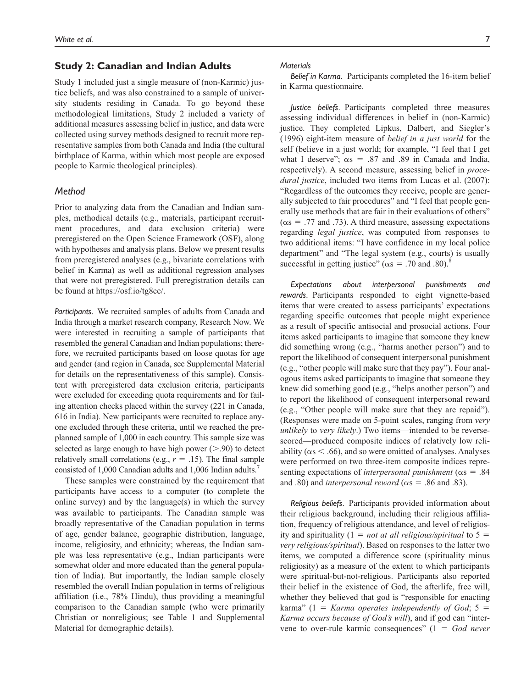### **Study 2: Canadian and Indian Adults**

Study 1 included just a single measure of (non-Karmic) justice beliefs, and was also constrained to a sample of university students residing in Canada. To go beyond these methodological limitations, Study 2 included a variety of additional measures assessing belief in justice, and data were collected using survey methods designed to recruit more representative samples from both Canada and India (the cultural birthplace of Karma, within which most people are exposed people to Karmic theological principles).

### *Method*

Prior to analyzing data from the Canadian and Indian samples, methodical details (e.g., materials, participant recruitment procedures, and data exclusion criteria) were preregistered on the Open Science Framework (OSF), along with hypotheses and analysis plans. Below we present results from preregistered analyses (e.g., bivariate correlations with belief in Karma) as well as additional regression analyses that were not preregistered. Full preregistration details can be found at https://osf.io/tg8ce/.

*Participants.* We recruited samples of adults from Canada and India through a market research company, Research Now. We were interested in recruiting a sample of participants that resembled the general Canadian and Indian populations; therefore, we recruited participants based on loose quotas for age and gender (and region in Canada, see Supplemental Material for details on the representativeness of this sample). Consistent with preregistered data exclusion criteria, participants were excluded for exceeding quota requirements and for failing attention checks placed within the survey (221 in Canada, 616 in India). New participants were recruited to replace anyone excluded through these criteria, until we reached the preplanned sample of 1,000 in each country. This sample size was selected as large enough to have high power  $(>0.90)$  to detect relatively small correlations (e.g.,  $r = .15$ ). The final sample consisted of 1,000 Canadian adults and 1,006 Indian adults.7

These samples were constrained by the requirement that participants have access to a computer (to complete the online survey) and by the language(s) in which the survey was available to participants. The Canadian sample was broadly representative of the Canadian population in terms of age, gender balance, geographic distribution, language, income, religiosity, and ethnicity; whereas, the Indian sample was less representative (e.g., Indian participants were somewhat older and more educated than the general population of India). But importantly, the Indian sample closely resembled the overall Indian population in terms of religious affiliation (i.e., 78% Hindu), thus providing a meaningful comparison to the Canadian sample (who were primarily Christian or nonreligious; see Table 1 and Supplemental Material for demographic details).

#### *Materials*

*Belief in Karma*. Participants completed the 16-item belief in Karma questionnaire.

*Justice beliefs*. Participants completed three measures assessing individual differences in belief in (non-Karmic) justice. They completed Lipkus, Dalbert, and Siegler's (1996) eight-item measure of *belief in a just world* for the self (believe in a just world; for example, "I feel that I get what I deserve";  $\alpha s = .87$  and .89 in Canada and India, respectively). A second measure, assessing belief in *procedural justice*, included two items from Lucas et al. (2007): "Regardless of the outcomes they receive, people are generally subjected to fair procedures" and "I feel that people generally use methods that are fair in their evaluations of others"  $(\alpha s = .77$  and .73). A third measure, assessing expectations regarding *legal justice*, was computed from responses to two additional items: "I have confidence in my local police department" and "The legal system (e.g., courts) is usually successful in getting justice" ( $\alpha s = .70$  and .80).<sup>8</sup>

*Expectations about interpersonal punishments and rewards*. Participants responded to eight vignette-based items that were created to assess participants' expectations regarding specific outcomes that people might experience as a result of specific antisocial and prosocial actions. Four items asked participants to imagine that someone they knew did something wrong (e.g., "harms another person") and to report the likelihood of consequent interpersonal punishment (e.g., "other people will make sure that they pay"). Four analogous items asked participants to imagine that someone they knew did something good (e.g., "helps another person") and to report the likelihood of consequent interpersonal reward (e.g., "Other people will make sure that they are repaid"). (Responses were made on 5-point scales, ranging from *very unlikely* to *very likely*.) Two items—intended to be reversescored—produced composite indices of relatively low reliability ( $\alpha$ s < .66), and so were omitted of analyses. Analyses were performed on two three-item composite indices representing expectations of *interpersonal punishment* (αs = .84 and .80) and *interpersonal reward* ( $\alpha s = .86$  and .83).

*Religious beliefs*. Participants provided information about their religious background, including their religious affiliation, frequency of religious attendance, and level of religiosity and spirituality (1 = *not at all religious/spiritual* to 5 = *very religious/spiritual*). Based on responses to the latter two items, we computed a difference score (spirituality minus religiosity) as a measure of the extent to which participants were spiritual-but-not-religious. Participants also reported their belief in the existence of God, the afterlife, free will, whether they believed that god is "responsible for enacting karma" (1 = *Karma operates independently of God*; 5 = *Karma occurs because of God's will*), and if god can "intervene to over-rule karmic consequences" (1 = *God never*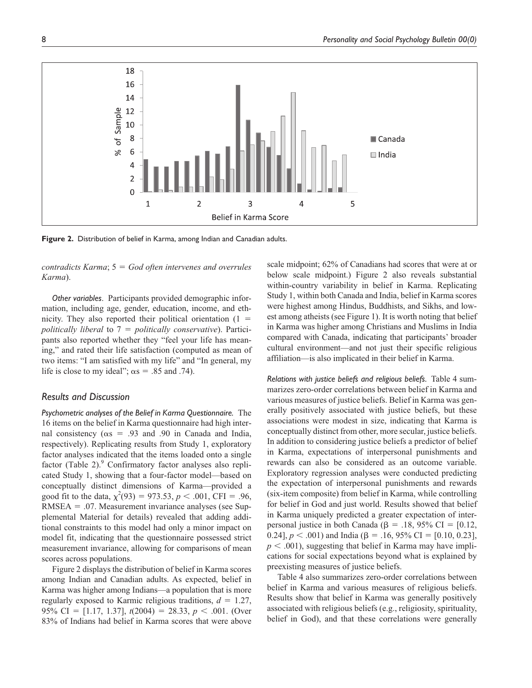

**Figure 2.** Distribution of belief in Karma, among Indian and Canadian adults.

*contradicts Karma*; 5 = *God often intervenes and overrules Karma*).

*Other variables*. Participants provided demographic information, including age, gender, education, income, and ethnicity. They also reported their political orientation  $(1 =$ *politically liberal* to 7 = *politically conservative*). Participants also reported whether they "feel your life has meaning," and rated their life satisfaction (computed as mean of two items: "I am satisfied with my life" and "In general, my life is close to my ideal";  $\alpha s = .85$  and .74).

### *Results and Discussion*

*Psychometric analyses of the Belief in Karma Questionnaire.* The 16 items on the belief in Karma questionnaire had high internal consistency ( $\alpha s = .93$  and .90 in Canada and India, respectively). Replicating results from Study 1, exploratory factor analyses indicated that the items loaded onto a single factor (Table 2).<sup>9</sup> Confirmatory factor analyses also replicated Study 1, showing that a four-factor model—based on conceptually distinct dimensions of Karma—provided a good fit to the data,  $\chi^2(93) = 973.53$ ,  $p < .001$ , CFI = .96, RMSEA = .07. Measurement invariance analyses (see Supplemental Material for details) revealed that adding additional constraints to this model had only a minor impact on model fit, indicating that the questionnaire possessed strict measurement invariance, allowing for comparisons of mean scores across populations.

Figure 2 displays the distribution of belief in Karma scores among Indian and Canadian adults. As expected, belief in Karma was higher among Indians—a population that is more regularly exposed to Karmic religious traditions,  $d = 1.27$ , 95% CI = [1.17, 1.37], *t*(2004) = 28.33, *p* < .001. (Over 83% of Indians had belief in Karma scores that were above

scale midpoint; 62% of Canadians had scores that were at or below scale midpoint.) Figure 2 also reveals substantial within-country variability in belief in Karma. Replicating Study 1, within both Canada and India, belief in Karma scores were highest among Hindus, Buddhists, and Sikhs, and lowest among atheists (see Figure 1). It is worth noting that belief in Karma was higher among Christians and Muslims in India compared with Canada, indicating that participants' broader cultural environment—and not just their specific religious affiliation—is also implicated in their belief in Karma.

*Relations with justice beliefs and religious beliefs.* Table 4 summarizes zero-order correlations between belief in Karma and various measures of justice beliefs. Belief in Karma was generally positively associated with justice beliefs, but these associations were modest in size, indicating that Karma is conceptually distinct from other, more secular, justice beliefs. In addition to considering justice beliefs a predictor of belief in Karma, expectations of interpersonal punishments and rewards can also be considered as an outcome variable. Exploratory regression analyses were conducted predicting the expectation of interpersonal punishments and rewards (six-item composite) from belief in Karma, while controlling for belief in God and just world. Results showed that belief in Karma uniquely predicted a greater expectation of interpersonal justice in both Canada (β = .18, 95% CI = [0.12, 0.24],  $p < .001$ ) and India ( $\beta = .16$ , 95% CI = [0.10, 0.23],  $p < .001$ ), suggesting that belief in Karma may have implications for social expectations beyond what is explained by preexisting measures of justice beliefs.

Table 4 also summarizes zero-order correlations between belief in Karma and various measures of religious beliefs. Results show that belief in Karma was generally positively associated with religious beliefs (e.g., religiosity, spirituality, belief in God), and that these correlations were generally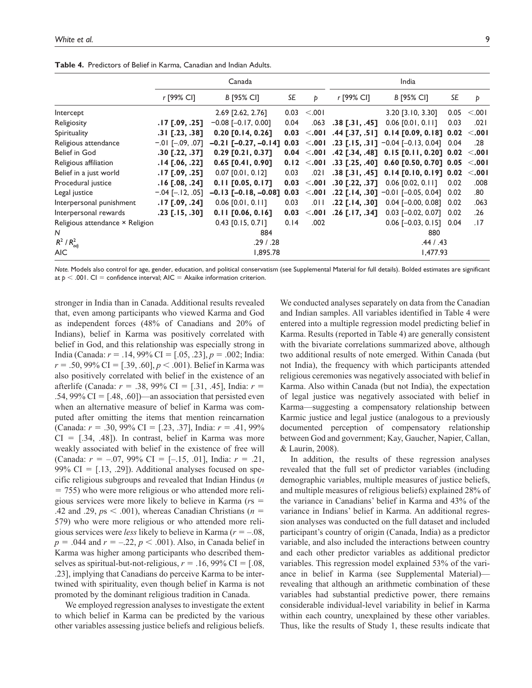|                                 |                        | Canada                        |      |                  |                    | India                                     |      |        |
|---------------------------------|------------------------|-------------------------------|------|------------------|--------------------|-------------------------------------------|------|--------|
|                                 | r [99% CI]             | <b>B</b> [95% CI]             | SE   | Þ                | r [99% CI]         | <b>B</b> [95% CI]                         | SE   | Þ      |
| Intercept                       |                        | $2.69$ [2.62, 2.76]           | 0.03 | < 0.01           |                    | $3.20$ [ $3.10$ , $3.30$ ]                | 0.05 | < 0.01 |
| Religiosity                     | $.17$ $[.09, .25]$     | $-0.08$ [ $-0.17$ , 0.00]     | 0.04 | .063             | $.38$ [.31, .45]   | $0.06$ [0.01, 0.11]                       | 0.03 | .021   |
| Spirituality                    | $.31$ [.23, .38]       | $0.20$ [0.14, 0.26]           | 0.03 | < .001           | $.44$ [.37, .51]   | $0.14$ [0.09, 0.18] 0.02                  |      | < .001 |
| Religious attendance            | $-.01$ [ $-.09, .07$ ] | $-0.21$ $[-0.27, -0.14]$ 0.03 |      | < .001           |                    | $.23$ [.15, .31] -0.04 [-0.13, 0.04] 0.04 |      | .28    |
| Belief in God                   | $.30$ [.22, .37]       | $0.29$ [0.21, 0.37]           |      | $0.04 \sim 0.01$ |                    | $.42$ [.34, .48] 0.15 [0.11, 0.20] 0.02   |      | < .001 |
| Religious affiliation           | $.14$ [.06, .22]       | $0.65$ [0.41, 0.90]           | 0.12 | < .001           |                    | $.33$ [.25, .40] 0.60 [0.50, 0.70] 0.05   |      | < .001 |
| Belief in a just world          | $.17$ [.09, .25]       | $0.07$ [0.01, 0.12]           | 0.03 | .021             | $.38$ [.31, .45]   | $0.14$ [0.10, 0.19] 0.02                  |      | < .001 |
| Procedural justice              | $.16$ $[.08, .24]$     | $0.11$ [0.05, 0.17]           | 0.03 | < .001           | $.30$ [.22, .37]   | $0.06$ [0.02, 0.11]                       | 0.02 | .008   |
| Legal justice                   | $-.04$ [ $-.12, .05$ ] | $-0.13$ [ $-0.18$ , $-0.08$ ] | 0.03 | < .001           |                    | $.22$ [.14, .30] -0.01 [-0.05, 0.04]      | 0.02 | .80    |
| Interpersonal punishment        | $.17$ [.09, .24]       | $0.06$ [0.01, 0.11]           | 0.03 | .011             | $.22$ $[.14, .30]$ | $0.04$ [-0.00, 0.08]                      | 0.02 | .063   |
| Interpersonal rewards           | $.23$ [.15, .30]       | $0.11$ [0.06, 0.16]           | 0.03 | < .001           | $.26$ [.17, .34]   | $0.03$ [-0.02, 0.07]                      | 0.02 | .26    |
| Religious attendance × Religion |                        | $0.43$ [0.15, 0.71]           | 0.14 | .002             |                    | $0.06$ [-0.03, 0.15]                      | 0.04 | .17    |
| N                               |                        | 884                           |      |                  |                    | 880                                       |      |        |
| $R^2/R_{adj}^2$                 |                        | .29/0.28                      |      |                  |                    | .44 / .43                                 |      |        |
| <b>AIC</b>                      |                        | 895.78,                       |      |                  |                    | 1,477.93                                  |      |        |

**Table 4.** Predictors of Belief in Karma, Canadian and Indian Adults.

*Note.* Models also control for age, gender, education, and political conservatism (see Supplemental Material for full details). Bolded estimates are significant at  $p < .001$ . CI = confidence interval; AIC = Akaike information criterion.

stronger in India than in Canada. Additional results revealed that, even among participants who viewed Karma and God as independent forces (48% of Canadians and 20% of Indians), belief in Karma was positively correlated with belief in God, and this relationship was especially strong in India (Canada: *r* = .14, 99% CI = [.05, .23], *p* = .002; India: *r* = .50, 99% CI = [.39, .60], *p* < .001). Belief in Karma was also positively correlated with belief in the existence of an afterlife (Canada: *r* = .38, 99% CI = [.31, .45], India: *r* = .54, 99% CI =  $[0.48, 0.60]$  —an association that persisted even when an alternative measure of belief in Karma was computed after omitting the items that mention reincarnation (Canada: *r* = .30, 99% CI = [.23, .37], India: *r* = .41, 99%  $CI = [.34, .48]$ . In contrast, belief in Karma was more weakly associated with belief in the existence of free will (Canada: *r* = –.07, 99% CI = [–.15, .01], India: *r* = .21, 99% CI =  $[0.13, 0.29]$ . Additional analyses focused on specific religious subgroups and revealed that Indian Hindus (*n*  $= 755$ ) who were more religious or who attended more religious services were more likely to believe in Karma (*r*s = .42 and .29, *p*s < .001), whereas Canadian Christians (*n* = 579) who were more religious or who attended more religious services were *less* likely to believe in Karma (*r* = –.08,  $p = .044$  and  $r = -.22$ ,  $p < .001$ ). Also, in Canada belief in Karma was higher among participants who described themselves as spiritual-but-not-religious,  $r = .16,99\%$  CI = [.08, .23], implying that Canadians do perceive Karma to be intertwined with spirituality, even though belief in Karma is not promoted by the dominant religious tradition in Canada.

We employed regression analyses to investigate the extent to which belief in Karma can be predicted by the various other variables assessing justice beliefs and religious beliefs.

We conducted analyses separately on data from the Canadian and Indian samples. All variables identified in Table 4 were entered into a multiple regression model predicting belief in Karma. Results (reported in Table 4) are generally consistent with the bivariate correlations summarized above, although two additional results of note emerged. Within Canada (but not India), the frequency with which participants attended religious ceremonies was negatively associated with belief in Karma. Also within Canada (but not India), the expectation of legal justice was negatively associated with belief in Karma—suggesting a compensatory relationship between Karmic justice and legal justice (analogous to a previously documented perception of compensatory relationship between God and government; Kay, Gaucher, Napier, Callan, & Laurin, 2008).

In addition, the results of these regression analyses revealed that the full set of predictor variables (including demographic variables, multiple measures of justice beliefs, and multiple measures of religious beliefs) explained 28% of the variance in Canadians' belief in Karma and 43% of the variance in Indians' belief in Karma. An additional regression analyses was conducted on the full dataset and included participant's country of origin (Canada, India) as a predictor variable, and also included the interactions between country and each other predictor variables as additional predictor variables. This regression model explained 53% of the variance in belief in Karma (see Supplemental Material) revealing that although an arithmetic combination of these variables had substantial predictive power, there remains considerable individual-level variability in belief in Karma within each country, unexplained by these other variables. Thus, like the results of Study 1, these results indicate that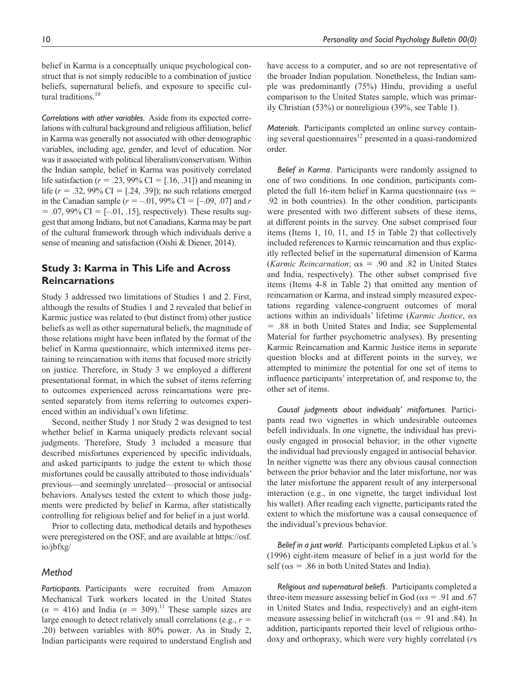belief in Karma is a conceptually unique psychological construct that is not simply reducible to a combination of justice beliefs, supernatural beliefs, and exposure to specific cultural traditions.<sup>10</sup>

*Correlations with other variables.* Aside from its expected correlations with cultural background and religious affiliation, belief in Karma was generally not associated with other demographic variables, including age, gender, and level of education. Nor was it associated with political liberalism/conservatism. Within the Indian sample, belief in Karma was positively correlated life satisfaction ( $r = .23,99\%$  CI = [.16, .31]) and meaning in life  $(r = .32, 99\% \text{ CI} = [.24, .39])$ ; no such relations emerged in the Canadian sample  $(r = -0.01, 99\% \text{ CI} = [-0.00, 0.07]$  and *r*  $= .07, 99\% \text{ CI} = [-.01, .15]$ , respectively). These results suggest that among Indians, but not Canadians, Karma may be part of the cultural framework through which individuals derive a sense of meaning and satisfaction (Oishi & Diener, 2014).

# **Study 3: Karma in This Life and Across Reincarnations**

Study 3 addressed two limitations of Studies 1 and 2. First, although the results of Studies 1 and 2 revealed that belief in Karmic justice was related to (but distinct from) other justice beliefs as well as other supernatural beliefs, the magnitude of those relations might have been inflated by the format of the belief in Karma questionnaire, which intermixed items pertaining to reincarnation with items that focused more strictly on justice. Therefore, in Study 3 we employed a different presentational format, in which the subset of items referring to outcomes experienced across reincarnations were presented separately from items referring to outcomes experienced within an individual's own lifetime.

Second, neither Study 1 nor Study 2 was designed to test whether belief in Karma uniquely predicts relevant social judgments. Therefore, Study 3 included a measure that described misfortunes experienced by specific individuals, and asked participants to judge the extent to which those misfortunes could be causally attributed to those individuals' previous—and seemingly unrelated—prosocial or antisocial behaviors. Analyses tested the extent to which those judgments were predicted by belief in Karma, after statistically controlling for religious belief and for belief in a just world.

Prior to collecting data, methodical details and hypotheses were preregistered on the OSF, and are available at [https://osf.](https://osf.io/jbfxg/) [io/jbfxg/](https://osf.io/jbfxg/)

### *Method*

*Participants.* Participants were recruited from Amazon Mechanical Turk workers located in the United States  $(n = 416)$  and India  $(n = 309)$ .<sup>11</sup> These sample sizes are large enough to detect relatively small correlations (e.g.,  $r =$ .20) between variables with 80% power. As in Study 2, Indian participants were required to understand English and have access to a computer, and so are not representative of the broader Indian population. Nonetheless, the Indian sample was predominantly (75%) Hindu, providing a useful comparison to the United States sample, which was primarily Christian (53%) or nonreligious (39%, see Table 1).

*Materials.* Participants completed an online survey containing several questionnaires $12$  presented in a quasi-randomized order.

*Belief in Karma*. Participants were randomly assigned to one of two conditions. In one condition, participants completed the full 16-item belief in Karma questionnaire ( $\alpha$ s = .92 in both countries). In the other condition, participants were presented with two different subsets of these items, at different points in the survey. One subset comprised four items (Items 1, 10, 11, and 15 in Table 2) that collectively included references to Karmic reincarnation and thus explicitly reflected belief in the supernatural dimension of Karma (*Karmic Reincarnation*; αs = .90 and .82 in United States and India, respectively). The other subset comprised five items (Items 4-8 in Table 2) that omitted any mention of reincarnation or Karma, and instead simply measured expectations regarding valence-congruent outcomes of moral actions within an individuals' lifetime (*Karmic Justice*, αs = .88 in both United States and India; see Supplemental Material for further psychometric analyses). By presenting Karmic Reincarnation and Karmic Justice items in separate question blocks and at different points in the survey, we attempted to minimize the potential for one set of items to influence participants' interpretation of, and response to, the other set of items.

*Causal judgments about individuals' misfortunes*. Participants read two vignettes in which undesirable outcomes befell individuals. In one vignette, the individual has previously engaged in prosocial behavior; in the other vignette the individual had previously engaged in antisocial behavior. In neither vignette was there any obvious causal connection between the prior behavior and the later misfortune, nor was the later misfortune the apparent result of any interpersonal interaction (e.g., in one vignette, the target individual lost his wallet). After reading each vignette, participants rated the extent to which the misfortune was a causal consequence of the individual's previous behavior.

*Belief in a just world*. Participants completed Lipkus et al.'s (1996) eight-item measure of belief in a just world for the self ( $\alpha$ s = .86 in both United States and India).

*Religious and supernatural beliefs*. Participants completed a three-item measure assessing belief in God ( $\alpha$ s = .91 and .67 in United States and India, respectively) and an eight-item measure assessing belief in witchcraft ( $\alpha s = .91$  and .84). In addition, participants reported their level of religious orthodoxy and orthopraxy, which were very highly correlated (*r*s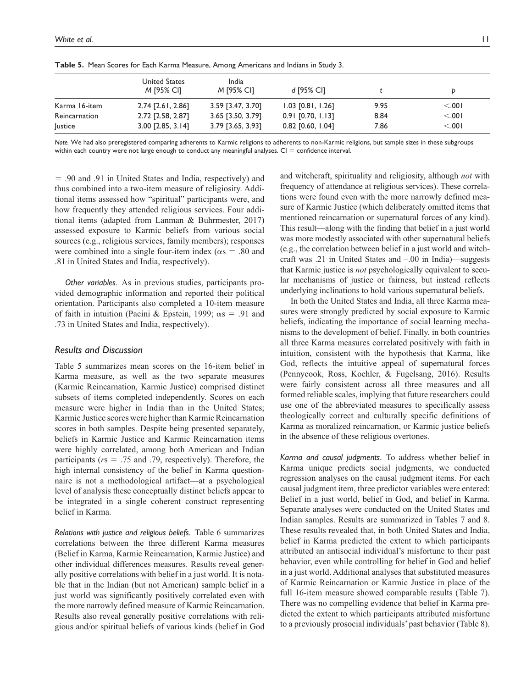|                | United States<br>M [95% CI] | India<br>M [95% CI] | d [95% CI]            |      |        |
|----------------|-----------------------------|---------------------|-----------------------|------|--------|
| Karma 16-item  | 2.74 [2.61, 2.86]           | 3.59 [3.47, 3.70]   | $1.03$ $[0.81, 1.26]$ | 9.95 | < 0.01 |
| Reincarnation  | 2.72 [2.58, 2.87]           | 3.65 [3.50, 3.79]   | $0.91$ [0.70, 1.13]   | 8.84 | < 0.01 |
| <b>Justice</b> | $3.00$ [2.85, $3.14$ ]      | 3.79 [3.65, 3.93]   | $0.82$ [0.60, 1.04]   | 7.86 | < 0.01 |

**Table 5.** Mean Scores for Each Karma Measure, Among Americans and Indians in Study 3.

*Note.* We had also preregistered comparing adherents to Karmic religions to adherents to non-Karmic religions, but sample sizes in these subgroups within each country were not large enough to conduct any meaningful analyses.  $CI =$  confidence interval.

= .90 and .91 in United States and India, respectively) and thus combined into a two-item measure of religiosity. Additional items assessed how "spiritual" participants were, and how frequently they attended religious services. Four additional items (adapted from Lanman & Buhrmester, 2017) assessed exposure to Karmic beliefs from various social sources (e.g., religious services, family members); responses were combined into a single four-item index ( $\alpha$ s = .80 and .81 in United States and India, respectively).

*Other variables*. As in previous studies, participants provided demographic information and reported their political orientation. Participants also completed a 10-item measure of faith in intuition (Pacini & Epstein, 1999;  $\alpha s = .91$  and .73 in United States and India, respectively).

### *Results and Discussion*

Table 5 summarizes mean scores on the 16-item belief in Karma measure, as well as the two separate measures (Karmic Reincarnation, Karmic Justice) comprised distinct subsets of items completed independently. Scores on each measure were higher in India than in the United States; Karmic Justice scores were higher than Karmic Reincarnation scores in both samples. Despite being presented separately, beliefs in Karmic Justice and Karmic Reincarnation items were highly correlated, among both American and Indian participants (*r*s = .75 and .79, respectively). Therefore, the high internal consistency of the belief in Karma questionnaire is not a methodological artifact—at a psychological level of analysis these conceptually distinct beliefs appear to be integrated in a single coherent construct representing belief in Karma.

*Relations with justice and religious beliefs.* Table 6 summarizes correlations between the three different Karma measures (Belief in Karma, Karmic Reincarnation, Karmic Justice) and other individual differences measures. Results reveal generally positive correlations with belief in a just world. It is notable that in the Indian (but not American) sample belief in a just world was significantly positively correlated even with the more narrowly defined measure of Karmic Reincarnation. Results also reveal generally positive correlations with religious and/or spiritual beliefs of various kinds (belief in God

and witchcraft, spirituality and religiosity, although *not* with frequency of attendance at religious services). These correlations were found even with the more narrowly defined measure of Karmic Justice (which deliberately omitted items that mentioned reincarnation or supernatural forces of any kind). This result—along with the finding that belief in a just world was more modestly associated with other supernatural beliefs (e.g., the correlation between belief in a just world and witchcraft was .21 in United States and –.00 in India)—suggests that Karmic justice is *not* psychologically equivalent to secular mechanisms of justice or fairness, but instead reflects underlying inclinations to hold various supernatural beliefs.

In both the United States and India, all three Karma measures were strongly predicted by social exposure to Karmic beliefs, indicating the importance of social learning mechanisms to the development of belief. Finally, in both countries all three Karma measures correlated positively with faith in intuition, consistent with the hypothesis that Karma, like God, reflects the intuitive appeal of supernatural forces (Pennycook, Ross, Koehler, & Fugelsang, 2016). Results were fairly consistent across all three measures and all formed reliable scales, implying that future researchers could use one of the abbreviated measures to specifically assess theologically correct and culturally specific definitions of Karma as moralized reincarnation, or Karmic justice beliefs in the absence of these religious overtones.

*Karma and causal judgments.* To address whether belief in Karma unique predicts social judgments, we conducted regression analyses on the causal judgment items. For each causal judgment item, three predictor variables were entered: Belief in a just world, belief in God, and belief in Karma. Separate analyses were conducted on the United States and Indian samples. Results are summarized in Tables 7 and 8. These results revealed that, in both United States and India, belief in Karma predicted the extent to which participants attributed an antisocial individual's misfortune to their past behavior, even while controlling for belief in God and belief in a just world. Additional analyses that substituted measures of Karmic Reincarnation or Karmic Justice in place of the full 16-item measure showed comparable results (Table 7). There was no compelling evidence that belief in Karma predicted the extent to which participants attributed misfortune to a previously prosocial individuals' past behavior (Table 8).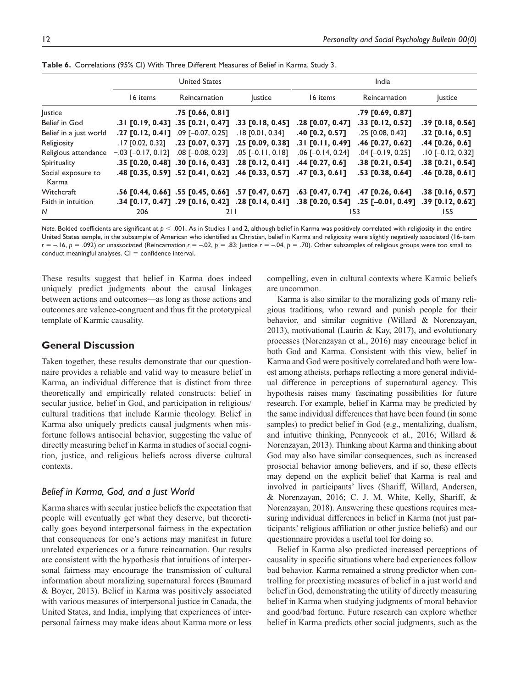|                             |                                          | <b>United States</b>                 |                                                                         |                                                                                       | India                                                                                                 |                     |
|-----------------------------|------------------------------------------|--------------------------------------|-------------------------------------------------------------------------|---------------------------------------------------------------------------------------|-------------------------------------------------------------------------------------------------------|---------------------|
|                             | 16 items                                 | Reincarnation                        | lustice                                                                 | 16 items                                                                              | Reincarnation                                                                                         | <b>Justice</b>      |
| Justice                     |                                          | $.75$ $[0.66, 0.81]$                 |                                                                         |                                                                                       | $.79$ [0.69, 0.87]                                                                                    |                     |
| Belief in God               |                                          |                                      | $.31$ [0.19, 0.43] $.35$ [0.21, 0.47] $.33$ [0.18, 0.45]                | $.28$ [0.07, 0.47]                                                                    | $.33$ [0.12, 0.52]                                                                                    | $.39$ [0.18, 0.56]  |
| Belief in a just world      |                                          | $.27$ [0.12, 0.41] .09 [-0.07, 0.25] | .18 [0.01, 0.34]                                                        | $.40$ [0.2, 0.57]                                                                     | $.25$ [0.08, 0.42]                                                                                    | $.32$ [0.16, 0.5]   |
| Religiosity                 | .17 [0.02, 0.32]                         |                                      | .23 [0.07, 0.37] .25 [0.09, 0.38]                                       | $.31$ [0.11, 0.49]                                                                    | $.46$ [0.27, 0.62]                                                                                    | $.44$ [0.26, 0.6]   |
| Religious attendance        | $-.03$ [-0.17, 0.12] $.08$ [-0.08, 0.23] |                                      | $.05$ [-0.11, 0.18]                                                     | $.06$ [-0.14, 0.24]                                                                   | $.04$ [-0.19, 0.25]                                                                                   | $.10$ [-0.12, 0.32] |
| Spirituality                |                                          |                                      | $.35$ [0.20, 0.48] .30 [0.16, 0.43] .28 [0.12, 0.41]                    | $.44$ [0.27, 0.6]                                                                     | $.38$ [0.21, 0.54]                                                                                    | $.38$ [0.21, 0.54]  |
| Social exposure to<br>Karma |                                          |                                      | .48 [0.35, 0.59] .52 [0.41, 0.62] .46 [0.33, 0.57] .48 [0.35, 0.59] .52 |                                                                                       | $.53$ [0.38, 0.64]                                                                                    | $.46$ [0.28, 0.61]  |
| Witchcraft                  |                                          |                                      |                                                                         | .56 [0.44, 0.66] 35 [0.45, 0.66] 37 [0.47, 0.67] 36 [0.47, 0.74] 36. [0.44, 0.66] 55. |                                                                                                       | $.38$ [0.16, 0.57]  |
| Faith in intuition          |                                          |                                      |                                                                         |                                                                                       | .34 [0.17, 0.47] 39 [0.16, 0.42] 38 [0.14, 0.41] 38 [0.20, 0.54] 25 [-0.01, 0.47] 39 [0.17, 0.47] 39. |                     |
| N                           | 206                                      | 211                                  |                                                                         |                                                                                       | 153                                                                                                   | 155                 |

**Table 6.** Correlations (95% CI) With Three Different Measures of Belief in Karma, Study 3.

*Note.* Bolded coefficients are significant at  $p < .001$ . As in Studies 1 and 2, although belief in Karma was positively correlated with religiosity in the entire United States sample, in the subsample of American who identified as Christian, belief in Karma and religiosity were slightly negatively associated (16-item  $r = -16$ ,  $p = .092$ ) or unassociated (Reincarnation  $r = -.02$ ,  $p = .83$ ; Justice  $r = -.04$ ,  $p = .70$ ). Other subsamples of religious groups were too small to conduct meaningful analyses.  $CI =$  confidence interval.

These results suggest that belief in Karma does indeed uniquely predict judgments about the causal linkages between actions and outcomes—as long as those actions and outcomes are valence-congruent and thus fit the prototypical template of Karmic causality.

## **General Discussion**

Taken together, these results demonstrate that our questionnaire provides a reliable and valid way to measure belief in Karma, an individual difference that is distinct from three theoretically and empirically related constructs: belief in secular justice, belief in God, and participation in religious/ cultural traditions that include Karmic theology. Belief in Karma also uniquely predicts causal judgments when misfortune follows antisocial behavior, suggesting the value of directly measuring belief in Karma in studies of social cognition, justice, and religious beliefs across diverse cultural contexts.

### *Belief in Karma, God, and a Just World*

Karma shares with secular justice beliefs the expectation that people will eventually get what they deserve, but theoretically goes beyond interpersonal fairness in the expectation that consequences for one's actions may manifest in future unrelated experiences or a future reincarnation. Our results are consistent with the hypothesis that intuitions of interpersonal fairness may encourage the transmission of cultural information about moralizing supernatural forces (Baumard & Boyer, 2013). Belief in Karma was positively associated with various measures of interpersonal justice in Canada, the United States, and India, implying that experiences of interpersonal fairness may make ideas about Karma more or less compelling, even in cultural contexts where Karmic beliefs are uncommon.

Karma is also similar to the moralizing gods of many religious traditions, who reward and punish people for their behavior, and similar cognitive (Willard & Norenzayan, 2013), motivational (Laurin & Kay, 2017), and evolutionary processes (Norenzayan et al., 2016) may encourage belief in both God and Karma. Consistent with this view, belief in Karma and God were positively correlated and both were lowest among atheists, perhaps reflecting a more general individual difference in perceptions of supernatural agency. This hypothesis raises many fascinating possibilities for future research. For example, belief in Karma may be predicted by the same individual differences that have been found (in some samples) to predict belief in God (e.g., mentalizing, dualism, and intuitive thinking, Pennycook et al., 2016; Willard & Norenzayan, 2013). Thinking about Karma and thinking about God may also have similar consequences, such as increased prosocial behavior among believers, and if so, these effects may depend on the explicit belief that Karma is real and involved in participants' lives (Shariff, Willard, Andersen, & Norenzayan, 2016; C. J. M. White, Kelly, Shariff, & Norenzayan, 2018). Answering these questions requires measuring individual differences in belief in Karma (not just participants' religious affiliation or other justice beliefs) and our questionnaire provides a useful tool for doing so.

Belief in Karma also predicted increased perceptions of causality in specific situations where bad experiences follow bad behavior. Karma remained a strong predictor when controlling for preexisting measures of belief in a just world and belief in God, demonstrating the utility of directly measuring belief in Karma when studying judgments of moral behavior and good/bad fortune. Future research can explore whether belief in Karma predicts other social judgments, such as the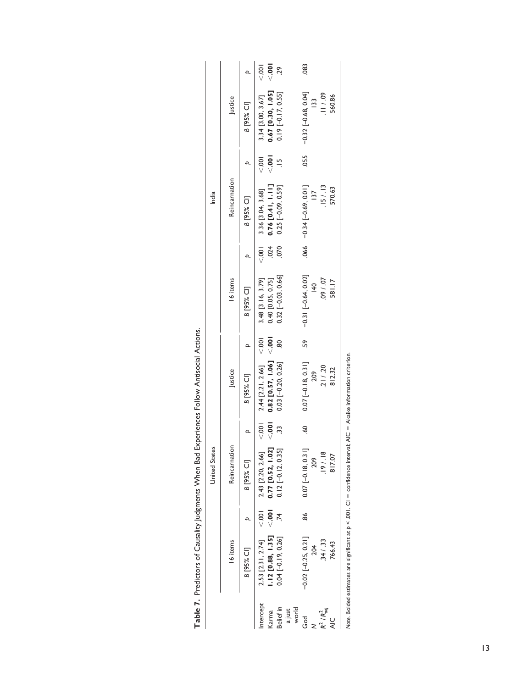|                              |                                       |                                          | <b>United States</b>                  |                              |                                                           |    |                                           |                     | India                                  |                          |                                        |                                             |
|------------------------------|---------------------------------------|------------------------------------------|---------------------------------------|------------------------------|-----------------------------------------------------------|----|-------------------------------------------|---------------------|----------------------------------------|--------------------------|----------------------------------------|---------------------------------------------|
|                              | 16 items                              |                                          | Reincarnation                         |                              | Justice                                                   |    | 16 items                                  |                     | Reincarnation                          |                          | Justice                                |                                             |
|                              | <b>B</b> [95% CI]                     | Φ                                        | <b>B</b> [95% CI]                     |                              | <b>B</b> [95% CI]                                         |    | <b>B</b> [95% CI]                         |                     | <b>B</b> [95% CI]                      |                          | <b>B</b> [95% CI]                      |                                             |
| Intercept<br>Karma           | .12 [0.88, 1.35]<br>2.53 [2.31, 2.74] | $\frac{100}{\sqrt{2}}$<br>$\frac{1}{20}$ | 2.43 [2.20, 2.66]<br>0.77 [0.52, 1.02 | $\leq 001$<br>$\frac{1}{20}$ | $0.82$ [0.57, 1.06] $< 0.01$<br>$2.44$ [2.21, 2.66] <.001 |    | 3.48 [3.16, 3.79]<br>0.40 [0.05, 0.75]    | $rac{1}{2}$<br>.024 | 0.76 [0.41, 1.11]<br>3.36 [3.04, 3.68] | < 001<br>$\frac{100}{2}$ | 0.67 [0.30, 1.05]<br>3.34 [3.00, 3.67] | $\overline{\phantom{0}}$<br>$\frac{100}{2}$ |
| Belief in<br>world<br>a just | $0.04$ $[-0.19, 0.26]$                |                                          | $0.12[-0.12, 0.35]$                   | 33                           | $0.03$ $[-0.20, 0.26]$                                    | 80 | $0.32$ $[-0.03, 0.66]$                    | 070                 | $0.25[-0.09, 0.59]$                    | $\frac{5}{1}$            | $0.19$ [-0.17, 0.55]                   | 29                                          |
| შ<br>ა                       | $-0.02$ $[-0.25, 0.21]$<br>204        | ಹೆ                                       | $0.07$ [ $-0.18$ , 0.31]<br>209       | $\ddot{\mathrm{S}}$          | $0.07$ $[-0.18, 0.31]$<br>209                             | 59 | $-0.31$ $[-0.64, 0.02]$<br>$\frac{40}{5}$ |                     | $-0.34 [-0.69, 0.01]$<br>137           | 055                      | $-0.32$ $[-0.68, 0.04]$<br><b>133</b>  | .083                                        |
| $R^2/R_{\text{adj}}^2$       | .34 / .33                             |                                          | 191.18                                |                              | .21 / .20                                                 |    | 0.160                                     |                     | .15/13                                 |                          | 11/09                                  |                                             |
| $\frac{C}{4}$                | 766.43                                |                                          | 817.07                                |                              | 812.32                                                    |    | 581.17                                    |                     | 570.63                                 |                          |                                        | 560.86                                      |

| ı             |
|---------------|
| i<br>«<br>!   |
|               |
| יים ביבת<br>I |
|               |
| נ<br>.        |
|               |
|               |
| )             |
| I             |
|               |
|               |
| Ĩ.            |
|               |
|               |
|               |
|               |
| Ĵ             |
| )<br>1        |
| i<br>ŀ        |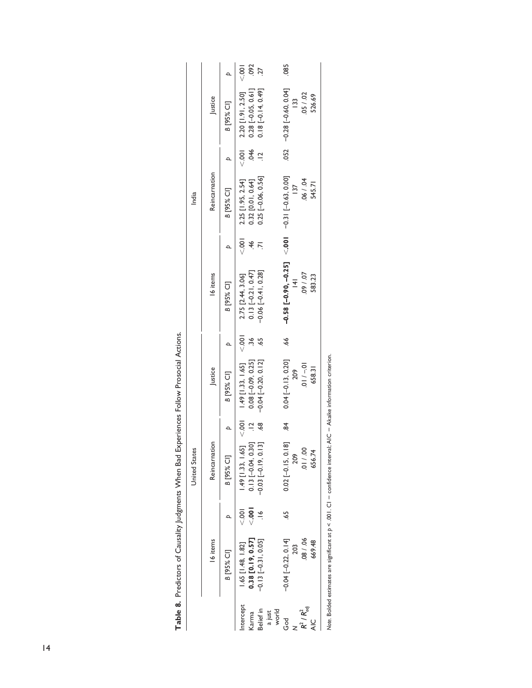|                       |                            |                 | <b>United States</b>    |                                                      |                         |                |                                                       |                    | India               |          |                         |                |
|-----------------------|----------------------------|-----------------|-------------------------|------------------------------------------------------|-------------------------|----------------|-------------------------------------------------------|--------------------|---------------------|----------|-------------------------|----------------|
|                       | 16 items                   |                 | Reincarnation           |                                                      | Justice                 |                | 16 items                                              |                    | Reincarnation       |          | Justice                 |                |
|                       | <b>B</b> [95% CI]          |                 | <b>B</b> [95% CI]       |                                                      | <b>B</b> [95% CI]       |                | <b>B</b> [95% CI]                                     |                    | <b>B</b> [95% CI]   |          | <b>B</b> [95% CI]       |                |
| ntercept              | $1.65$ [ $1.48$ , $1.82$ ] | $\frac{1}{2}$   | $1.49$ [1.33, 1.65]     | $\frac{1}{20}$                                       | $1.49$ [1.33, 1.65]     | $\frac{1}{2}$  | 2.75 [2.44, 3.06]                                     | $rac{1}{\sqrt{2}}$ | 2.25 [1.95, 2.54]   | $-001$   | 2.20 [1.91, 2.50]       | $\overline{5}$ |
| Karma                 | 0.38 [0.19, 0.57]          | $\frac{100}{2}$ | 0.13 [-0.04, 0.30]      | $\vec{=}$                                            | $0.08 [-0.09, 0.25]$    | 36             | $0.13 [-0.21, 0.47]$                                  | $\frac{4}{6}$      | 0.32 [0.01, 0.64]   | 046      | $0.28$ [-0.05, 0.61]    | 092            |
| Belief in             | $-0.13[-0.31, 0.05]$       |                 | $-0.03$ $[-0.19, 0.13]$ | 89.                                                  | $-0.04$ $[-0.20, 0.12]$ | 59             | $-0.06$ $[-0.41, 0.28]$                               |                    | 0.25 [-0.06, 0.56]  | $\equiv$ | $0.18 [-0.14, 0.49]$    |                |
| world<br>a just       |                            |                 |                         |                                                      |                         |                |                                                       |                    |                     |          |                         |                |
| შ<br>ა                | $-0.04$ $[-0.22, 0.14]$    | 59              | $0.02$ $[-0.15, 0.18]$  | 84                                                   | $0.04$ $[-0.13, 0.20]$  | $\frac{66}{5}$ | $-0.500$ $-0.700$ $-0.700$ $-0.000$ $-0.000$ $-0.000$ |                    |                     | .052     | $-0.28$ $[-0.60, 0.04]$ | 85             |
|                       | 203                        |                 | 209                     |                                                      | 209                     |                | $\frac{4}{1}$                                         |                    | <b>137</b>          |          | $\frac{33}{2}$          |                |
| $R^2/R_{\text{gd}}^2$ | $-0.80$                    |                 | 00.110                  |                                                      | $10 - 110$              |                | 10.760                                                |                    | .06 / .04<br>545.71 |          | .05 / .02<br>526.69     |                |
| $\frac{C}{4}$         | 669.48                     |                 | 656.74                  |                                                      | 658.31                  |                | 583.23                                                |                    |                     |          |                         |                |
| $\ddot{\cdot}$        |                            |                 | $\ddot{\phantom{a}}$    |                                                      |                         |                |                                                       |                    |                     |          |                         |                |
|                       |                            |                 |                         | ֖֚֚֚֚֚֚֚֚֚֚֚֚֚֚֚֚֚֚֡֬֝<br>֧֚֚֚֝<br>֧֚֚֚֚֚֚֚֚֚֝֝֝֝֝֝֝ |                         |                |                                                       |                    |                     |          |                         |                |

Table 8. Predictors of Causality Judgments When Bad Experiences Follow Prosocial Actions. **Table 8.** Predictors of Causality Judgments When Bad Experiences Follow Prosocial Actions.

Note. Bolded estimates are significant at  $p < .001$ . Cl = confidence interval; AIC = Akaike information criterion. *Note.* Bolded estimates are significant at *p* < .001. CI = confidence interval; AIC = Akaike information criterion.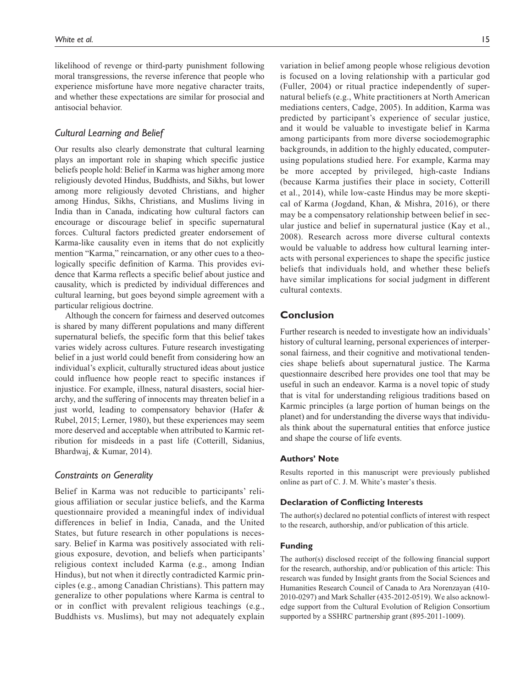likelihood of revenge or third-party punishment following moral transgressions, the reverse inference that people who experience misfortune have more negative character traits, and whether these expectations are similar for prosocial and antisocial behavior.

### *Cultural Learning and Belief*

Our results also clearly demonstrate that cultural learning plays an important role in shaping which specific justice beliefs people hold: Belief in Karma was higher among more religiously devoted Hindus, Buddhists, and Sikhs, but lower among more religiously devoted Christians, and higher among Hindus, Sikhs, Christians, and Muslims living in India than in Canada, indicating how cultural factors can encourage or discourage belief in specific supernatural forces. Cultural factors predicted greater endorsement of Karma-like causality even in items that do not explicitly mention "Karma," reincarnation, or any other cues to a theologically specific definition of Karma. This provides evidence that Karma reflects a specific belief about justice and causality, which is predicted by individual differences and cultural learning, but goes beyond simple agreement with a particular religious doctrine.

Although the concern for fairness and deserved outcomes is shared by many different populations and many different supernatural beliefs, the specific form that this belief takes varies widely across cultures. Future research investigating belief in a just world could benefit from considering how an individual's explicit, culturally structured ideas about justice could influence how people react to specific instances if injustice. For example, illness, natural disasters, social hierarchy, and the suffering of innocents may threaten belief in a just world, leading to compensatory behavior (Hafer & Rubel, 2015; Lerner, 1980), but these experiences may seem more deserved and acceptable when attributed to Karmic retribution for misdeeds in a past life (Cotterill, Sidanius, Bhardwaj, & Kumar, 2014).

### *Constraints on Generality*

Belief in Karma was not reducible to participants' religious affiliation or secular justice beliefs, and the Karma questionnaire provided a meaningful index of individual differences in belief in India, Canada, and the United States, but future research in other populations is necessary. Belief in Karma was positively associated with religious exposure, devotion, and beliefs when participants' religious context included Karma (e.g., among Indian Hindus), but not when it directly contradicted Karmic principles (e.g., among Canadian Christians). This pattern may generalize to other populations where Karma is central to or in conflict with prevalent religious teachings (e.g., Buddhists vs. Muslims), but may not adequately explain

variation in belief among people whose religious devotion is focused on a loving relationship with a particular god (Fuller, 2004) or ritual practice independently of supernatural beliefs (e.g., White practitioners at North American mediations centers, Cadge, 2005). In addition, Karma was predicted by participant's experience of secular justice, and it would be valuable to investigate belief in Karma among participants from more diverse sociodemographic backgrounds, in addition to the highly educated, computerusing populations studied here. For example, Karma may be more accepted by privileged, high-caste Indians (because Karma justifies their place in society, Cotterill et al., 2014), while low-caste Hindus may be more skeptical of Karma (Jogdand, Khan, & Mishra, 2016), or there may be a compensatory relationship between belief in secular justice and belief in supernatural justice (Kay et al., 2008). Research across more diverse cultural contexts would be valuable to address how cultural learning interacts with personal experiences to shape the specific justice beliefs that individuals hold, and whether these beliefs have similar implications for social judgment in different cultural contexts.

### **Conclusion**

Further research is needed to investigate how an individuals' history of cultural learning, personal experiences of interpersonal fairness, and their cognitive and motivational tendencies shape beliefs about supernatural justice. The Karma questionnaire described here provides one tool that may be useful in such an endeavor. Karma is a novel topic of study that is vital for understanding religious traditions based on Karmic principles (a large portion of human beings on the planet) and for understanding the diverse ways that individuals think about the supernatural entities that enforce justice and shape the course of life events.

### **Authors' Note**

Results reported in this manuscript were previously published online as part of C. J. M. White's master's thesis.

### **Declaration of Conflicting Interests**

The author(s) declared no potential conflicts of interest with respect to the research, authorship, and/or publication of this article.

### **Funding**

The author(s) disclosed receipt of the following financial support for the research, authorship, and/or publication of this article: This research was funded by Insight grants from the Social Sciences and Humanities Research Council of Canada to Ara Norenzayan (410- 2010-0297) and Mark Schaller (435-2012-0519). We also acknowledge support from the Cultural Evolution of Religion Consortium supported by a SSHRC partnership grant (895-2011-1009).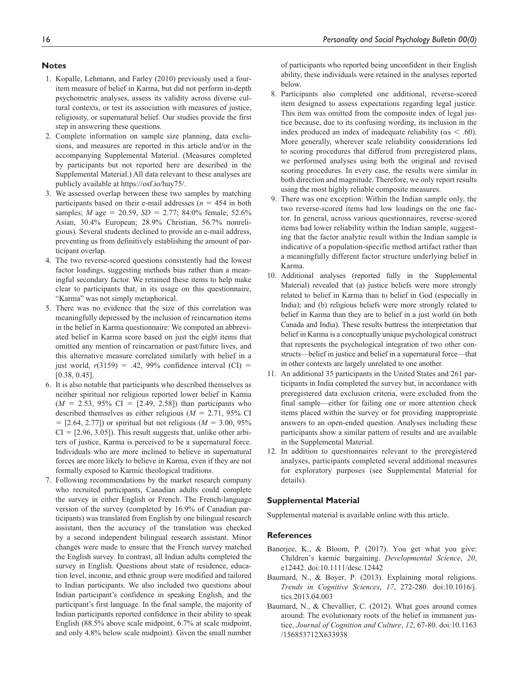### **Notes**

- 1. Kopalle, Lehmann, and Farley (2010) previously used a fouritem measure of belief in Karma, but did not perform in-depth psychometric analyses, assess its validity across diverse cultural contexts, or test its association with measures of justice, religiosity, or supernatural belief. Our studies provide the first step in answering these questions.
- 2. Complete information on sample size planning, data exclusions, and measures are reported in this article and/or in the accompanying Supplemental Material. (Measures completed by participants but not reported here are described in the Supplemental Material.) All data relevant to these analyses are publicly available at https://osf.io/huy75/.
- 3. We assessed overlap between these two samples by matching participants based on their e-mail addresses ( $n = 454$  in both samples; *M* age = 20.59, *SD* = 2.77; 84.0% female; 52.6% Asian, 30.4% European; 28.9% Christian, 56.7% nonreligious). Several students declined to provide an e-mail address, preventing us from definitively establishing the amount of participant overlap.
- 4. The two reverse-scored questions consistently had the lowest factor loadings, suggesting methods bias rather than a meaningful secondary factor. We retained these items to help make clear to participants that, in its usage on this questionnaire, "Karma" was not simply metaphorical.
- 5. There was no evidence that the size of this correlation was meaningfully depressed by the inclusion of reincarnation items in the belief in Karma questionnaire: We computed an abbreviated belief in Karma score based on just the eight items that omitted any mention of reincarnation or past/future lives, and this alternative measure correlated similarly with belief in a just world,  $r(3159) = .42, 99\%$  confidence interval (CI) =  $[0.38, 0.45]$ .
- 6. It is also notable that participants who described themselves as neither spiritual nor religious reported lower belief in Karma  $(M = 2.53, 95\% \text{ CI} = [2.49, 2.58])$  than participants who described themselves as either religious ( $M = 2.71$ , 95% CI  $=$  [2.64, 2.77]) or spiritual but not religious ( $M = 3.00, 95\%$  $CI = [2.96, 3.05]$ . This result suggests that, unlike other arbiters of justice, Karma is perceived to be a supernatural force. Individuals who are more inclined to believe in supernatural forces are more likely to believe in Karma, even if they are not formally exposed to Karmic theological traditions.
- 7. Following recommendations by the market research company who recruited participants, Canadian adults could complete the survey in either English or French. The French-language version of the survey (completed by 16.9% of Canadian participants) was translated from English by one bilingual research assistant, then the accuracy of the translation was checked by a second independent bilingual research assistant. Minor changes were made to ensure that the French survey matched the English survey. In contrast, all Indian adults completed the survey in English. Questions about state of residence, education level, income, and ethnic group were modified and tailored to Indian participants. We also included two questions about Indian participant's confidence in speaking English, and the participant's first language. In the final sample, the majority of Indian participants reported confidence in their ability to speak English (88.5% above scale midpoint, 6.7% at scale midpoint, and only 4.8% below scale midpoint). Given the small number

of participants who reported being unconfident in their English ability, these individuals were retained in the analyses reported below.

- 8. Participants also completed one additional, reverse-scored item designed to assess expectations regarding legal justice. This item was omitted from the composite index of legal justice because, due to its confusing wording, its inclusion in the index produced an index of inadequate reliability ( $\alpha$ s < .60). More generally, wherever scale reliability considerations led to scoring procedures that differed from preregistered plans, we performed analyses using both the original and revised scoring procedures. In every case, the results were similar in both direction and magnitude. Therefore, we only report results using the most highly reliable composite measures.
- 9. There was one exception: Within the Indian sample only, the two reverse-scored items had low loadings on the one factor. In general, across various questionnaires, reverse-scored items had lower reliability within the Indian sample, suggesting that the factor analytic result within the Indian sample is indicative of a population-specific method artifact rather than a meaningfully different factor structure underlying belief in Karma.
- 10. Additional analyses (reported fully in the Supplemental Material) revealed that (a) justice beliefs were more strongly related to belief in Karma than to belief in God (especially in India); and (b) religious beliefs were more strongly related to belief in Karma than they are to belief in a just world (in both Canada and India). These results buttress the interpretation that belief in Karma is a conceptually unique psychological construct that represents the psychological integration of two other constructs—belief in justice and belief in a supernatural force—that in other contexts are largely unrelated to one another.
- 11. An additional 35 participants in the United States and 261 participants in India completed the survey but, in accordance with preregistered data exclusion criteria, were excluded from the final sample—either for failing one or more attention check items placed within the survey or for providing inappropriate answers to an open-ended question. Analyses including these participants show a similar pattern of results and are available in the Supplemental Material.
- 12. In addition to questionnaires relevant to the preregistered analyses, participants completed several additional measures for exploratory purposes (see Supplemental Material for details).

#### **Supplemental Material**

Supplemental material is available online with this article.

#### **References**

- Banerjee, K., & Bloom, P. (2017). You get what you give: Children's karmic bargaining. *Developmental Science*, *20*, e12442. doi:10.1111/desc.12442
- Baumard, N., & Boyer, P. (2013). Explaining moral religions. *Trends in Cognitive Sciences*, *17*, 272-280. doi:10.1016/j. tics.2013.04.003
- Baumard, N., & Chevallier, C. (2012). What goes around comes around: The evolutionary roots of the belief in immanent justice. *Journal of Cognition and Culture*, *12*, 67-80. doi:10.1163 /156853712X633938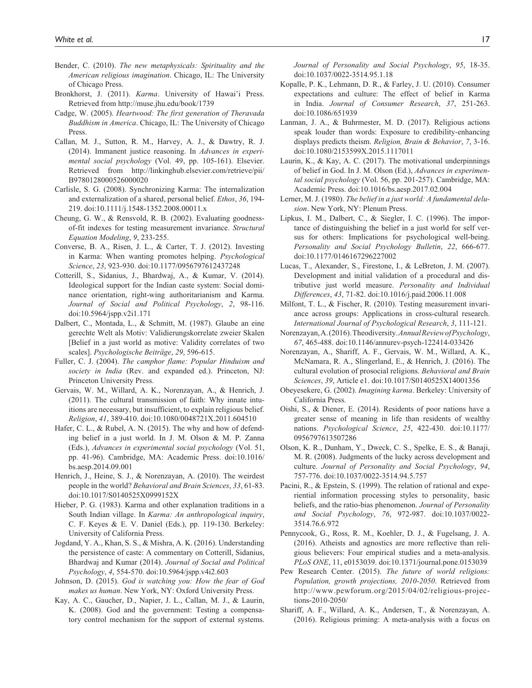- Bender, C. (2010). *The new metaphysicals: Spirituality and the American religious imagination*. Chicago, IL: The University of Chicago Press.
- Bronkhorst, J. (2011). *Karma*. University of Hawai'i Press. Retrieved from <http://muse.jhu.edu/book/1739>
- Cadge, W. (2005). *Heartwood: The first generation of Theravada Buddhism in America*. Chicago, IL: The University of Chicago Press.
- Callan, M. J., Sutton, R. M., Harvey, A. J., & Dawtry, R. J. (2014). Immanent justice reasoning. In *Advances in experimental social psychology* (Vol. 49, pp. 105-161). Elsevier. Retrieved from [http://linkinghub.elsevier.com/retrieve/pii/](http://linkinghub.elsevier.com/retrieve/pii/B9780128000526000020) [B9780128000526000020](http://linkinghub.elsevier.com/retrieve/pii/B9780128000526000020)
- Carlisle, S. G. (2008). Synchronizing Karma: The internalization and externalization of a shared, personal belief. *Ethos*, *36*, 194- 219. doi:10.1111/j.1548-1352.2008.00011.x
- Cheung, G. W., & Rensvold, R. B. (2002). Evaluating goodnessof-fit indexes for testing measurement invariance. *Structural Equation Modeling*, *9*, 233-255.
- Converse, B. A., Risen, J. L., & Carter, T. J. (2012). Investing in Karma: When wanting promotes helping. *Psychological Science*, *23*, 923-930. doi:10.1177/0956797612437248
- Cotterill, S., Sidanius, J., Bhardwaj, A., & Kumar, V. (2014). Ideological support for the Indian caste system: Social dominance orientation, right-wing authoritarianism and Karma. *Journal of Social and Political Psychology*, *2*, 98-116. doi:10.5964/jspp.v2i1.171
- Dalbert, C., Montada, L., & Schmitt, M. (1987). Glaube an eine gerechte Welt als Motiv: Validierungskorrelate zweier Skalen [Belief in a just world as motive: Validity correlates of two scales]. *Psychologische Beiträge*, *29*, 596-615.
- Fuller, C. J. (2004). *The camphor flame: Popular Hinduism and society in India* (Rev. and expanded ed.). Princeton, NJ: Princeton University Press.
- Gervais, W. M., Willard, A. K., Norenzayan, A., & Henrich, J. (2011). The cultural transmission of faith: Why innate intuitions are necessary, but insufficient, to explain religious belief. *Religion*, *41*, 389-410. doi:10.1080/0048721X.2011.604510
- Hafer, C. L., & Rubel, A. N. (2015). The why and how of defending belief in a just world. In J. M. Olson & M. P. Zanna (Eds.), *Advances in experimental social psychology* (Vol. 51, pp. 41-96). Cambridge, MA: Academic Press. doi:10.1016/ bs.aesp.2014.09.001
- Henrich, J., Heine, S. J., & Norenzayan, A. (2010). The weirdest people in the world? *Behavioral and Brain Sciences*, *33*, 61-83. doi:10.1017/S0140525X0999152X
- Hieber, P. G. (1983). Karma and other explanation traditions in a South Indian village. In *Karma: An anthropological inquiry*, C. F. Keyes & E. V. Daniel (Eds.), pp. 119-130. Berkeley: University of California Press.
- Jogdand, Y. A., Khan, S. S., & Mishra, A. K. (2016). Understanding the persistence of caste: A commentary on Cotterill, Sidanius, Bhardwaj and Kumar (2014). *Journal of Social and Political Psychology*, *4*, 554-570. doi:10.5964/jspp.v4i2.603
- Johnson, D. (2015). *God is watching you: How the fear of God makes us human*. New York, NY: Oxford University Press.
- Kay, A. C., Gaucher, D., Napier, J. L., Callan, M. J., & Laurin, K. (2008). God and the government: Testing a compensatory control mechanism for the support of external systems.

*Journal of Personality and Social Psychology*, *95*, 18-35. doi:10.1037/0022-3514.95.1.18

- Kopalle, P. K., Lehmann, D. R., & Farley, J. U. (2010). Consumer expectations and culture: The effect of belief in Karma in India. *Journal of Consumer Research*, *37*, 251-263. doi:10.1086/651939
- Lanman, J. A., & Buhrmester, M. D. (2017). Religious actions speak louder than words: Exposure to credibility-enhancing displays predicts theism. *Religion, Brain & Behavior*, *7*, 3-16. doi:10.1080/2153599X.2015.1117011
- Laurin, K., & Kay, A. C. (2017). The motivational underpinnings of belief in God. In J. M. Olson (Ed.), *Advances in experimental social psychology* (Vol. 56, pp. 201-257). Cambridge, MA: Academic Press. doi:10.1016/bs.aesp.2017.02.004
- Lerner, M. J. (1980). *The belief in a just world: A fundamental delusion*. New York, NY: Plenum Press.
- Lipkus, I. M., Dalbert, C., & Siegler, I. C. (1996). The importance of distinguishing the belief in a just world for self versus for others: Implications for psychological well-being. *Personality and Social Psychology Bulletin*, *22*, 666-677. doi:10.1177/0146167296227002
- Lucas, T., Alexander, S., Firestone, I., & LeBreton, J. M. (2007). Development and initial validation of a procedural and distributive just world measure. *Personality and Individual Differences*, *43*, 71-82. doi:10.1016/j.paid.2006.11.008
- Milfont, T. L., & Fischer, R. (2010). Testing measurement invariance across groups: Applications in cross-cultural research. *International Journal of Psychological Research*, *3*, 111-121.
- Norenzayan, A. (2016). Theodiversity. *Annual Review of Psychology*, *67*, 465-488. doi:10.1146/annurev-psych-122414-033426
- Norenzayan, A., Shariff, A. F., Gervais, W. M., Willard, A. K., McNamara, R. A., Slingerland, E., & Henrich, J. (2016). The cultural evolution of prosocial religions. *Behavioral and Brain Sciences*, *39*, Article e1. doi:10.1017/S0140525X14001356
- Obeyesekere, G. (2002). *Imagining karma*. Berkeley: University of California Press.
- Oishi, S., & Diener, E. (2014). Residents of poor nations have a greater sense of meaning in life than residents of wealthy nations. *Psychological Science*, *25*, 422-430. doi:10.1177/ 0956797613507286
- Olson, K. R., Dunham, Y., Dweck, C. S., Spelke, E. S., & Banaji, M. R. (2008). Judgments of the lucky across development and culture. *Journal of Personality and Social Psychology*, *94*, 757-776. doi:10.1037/0022-3514.94.5.757
- Pacini, R., & Epstein, S. (1999). The relation of rational and experiential information processing styles to personality, basic beliefs, and the ratio-bias phenomenon. *Journal of Personality and Social Psychology*, *76*, 972-987. doi:10.1037/0022- 3514.76.6.972
- Pennycook, G., Ross, R. M., Koehler, D. J., & Fugelsang, J. A. (2016). Atheists and agnostics are more reflective than religious believers: Four empirical studies and a meta-analysis. *PLoS ONE*, 11, e0153039. doi:10.1371/journal.pone.0153039
- Pew Research Center. (2015). *The future of world religions: Population, growth projections, 2010-2050*. Retrieved from [http://www.pewforum.org/2015/04/02/religious-projec](http://www.pewforum.org/2015/04/02/religious-projections-2010-2050/)[tions-2010-2050/](http://www.pewforum.org/2015/04/02/religious-projections-2010-2050/)
- Shariff, A. F., Willard, A. K., Andersen, T., & Norenzayan, A. (2016). Religious priming: A meta-analysis with a focus on